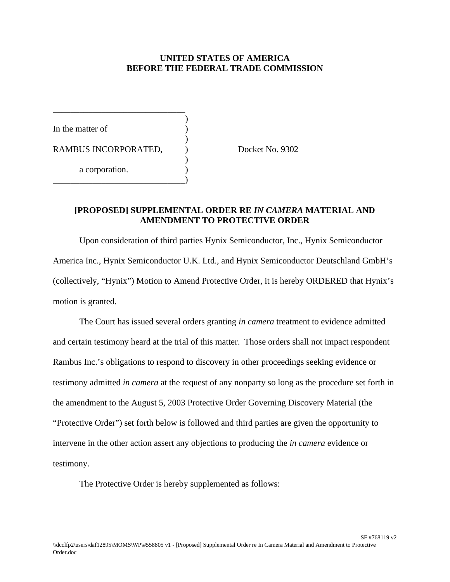## **UNITED STATES OF AMERICA BEFORE THE FEDERAL TRADE COMMISSION**

)

)

)

In the matter of RAMBUS INCORPORATED,  $Docket No. 9302$ a corporation. \_\_\_\_\_\_\_\_\_\_\_\_\_\_\_\_\_\_\_\_\_\_\_\_\_\_\_\_\_\_)

**\_\_\_\_\_\_\_\_\_\_\_\_\_\_\_\_\_\_\_\_\_\_\_\_\_\_\_\_\_\_**

## **[PROPOSED] SUPPLEMENTAL ORDER RE** *IN CAMERA* **MATERIAL AND AMENDMENT TO PROTECTIVE ORDER**

Upon consideration of third parties Hynix Semiconductor, Inc., Hynix Semiconductor America Inc., Hynix Semiconductor U.K. Ltd., and Hynix Semiconductor Deutschland GmbH's (collectively, "Hynix") Motion to Amend Protective Order, it is hereby ORDERED that Hynix's motion is granted.

The Court has issued several orders granting *in camera* treatment to evidence admitted and certain testimony heard at the trial of this matter. Those orders shall not impact respondent Rambus Inc.'s obligations to respond to discovery in other proceedings seeking evidence or testimony admitted *in camera* at the request of any nonparty so long as the procedure set forth in the amendment to the August 5, 2003 Protective Order Governing Discovery Material (the "Protective Order") set forth below is followed and third parties are given the opportunity to intervene in the other action assert any objections to producing the *in camera* evidence or testimony.

The Protective Order is hereby supplemented as follows: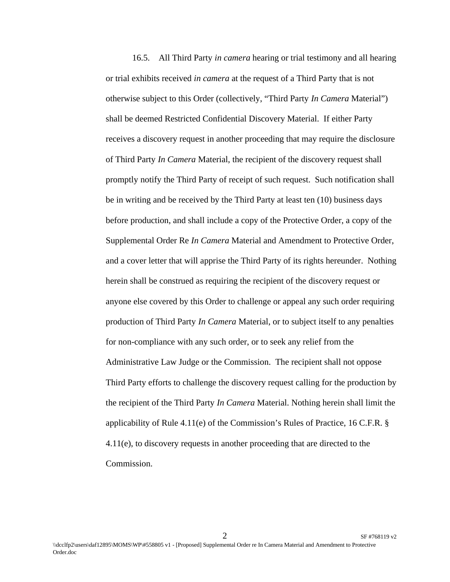16.5. All Third Party *in camera* hearing or trial testimony and all hearing or trial exhibits received *in camera* at the request of a Third Party that is not otherwise subject to this Order (collectively, "Third Party *In Camera* Material") shall be deemed Restricted Confidential Discovery Material. If either Party receives a discovery request in another proceeding that may require the disclosure of Third Party *In Camera* Material, the recipient of the discovery request shall promptly notify the Third Party of receipt of such request. Such notification shall be in writing and be received by the Third Party at least ten (10) business days before production, and shall include a copy of the Protective Order, a copy of the Supplemental Order Re *In Camera* Material and Amendment to Protective Order, and a cover letter that will apprise the Third Party of its rights hereunder. Nothing herein shall be construed as requiring the recipient of the discovery request or anyone else covered by this Order to challenge or appeal any such order requiring production of Third Party *In Camera* Material, or to subject itself to any penalties for non-compliance with any such order, or to seek any relief from the Administrative Law Judge or the Commission. The recipient shall not oppose Third Party efforts to challenge the discovery request calling for the production by the recipient of the Third Party *In Camera* Material. Nothing herein shall limit the applicability of Rule 4.11(e) of the Commission's Rules of Practice, 16 C.F.R. § 4.11(e), to discovery requests in another proceeding that are directed to the Commission.

 $2^{\frac{1}{2}}$  SF #768119 v2